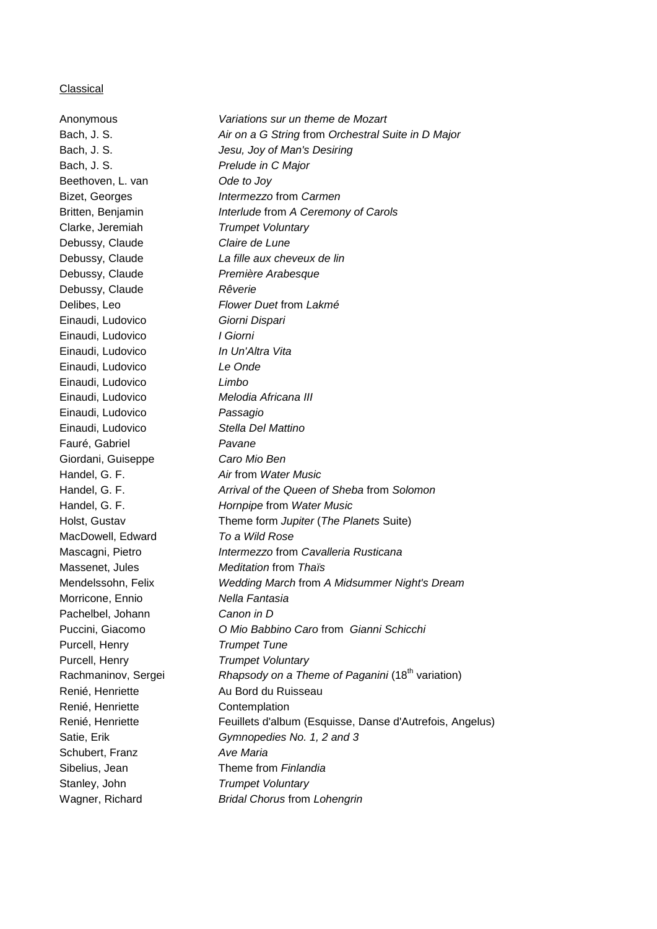### **Classical**

| Anonymous           | Variations sur un theme de Mozart                            |
|---------------------|--------------------------------------------------------------|
| Bach, J. S.         | Air on a G String from Orchestral Suite in D Major           |
| Bach, J. S.         | Jesu, Joy of Man's Desiring                                  |
| Bach, J. S.         | Prelude in C Major                                           |
| Beethoven, L. van   | Ode to Joy                                                   |
| Bizet, Georges      | Intermezzo from Carmen                                       |
| Britten, Benjamin   | Interlude from A Ceremony of Carols                          |
| Clarke, Jeremiah    | <b>Trumpet Voluntary</b>                                     |
| Debussy, Claude     | Claire de Lune                                               |
| Debussy, Claude     | La fille aux cheveux de lin                                  |
| Debussy, Claude     | Première Arabesque                                           |
| Debussy, Claude     | Rêverie                                                      |
| Delibes, Leo        | Flower Duet from Lakmé                                       |
| Einaudi, Ludovico   | Giorni Dispari                                               |
| Einaudi, Ludovico   | I Giorni                                                     |
| Einaudi, Ludovico   | In Un'Altra Vita                                             |
| Einaudi, Ludovico   | Le Onde                                                      |
| Einaudi, Ludovico   | Limbo                                                        |
| Einaudi, Ludovico   | Melodia Africana III                                         |
| Einaudi, Ludovico   | Passagio                                                     |
| Einaudi, Ludovico   | Stella Del Mattino                                           |
| Fauré, Gabriel      | Pavane                                                       |
| Giordani, Guiseppe  | Caro Mio Ben                                                 |
| Handel, G. F.       | Air from Water Music                                         |
| Handel, G. F.       | Arrival of the Queen of Sheba from Solomon                   |
| Handel, G. F.       | Hornpipe from Water Music                                    |
| Holst, Gustav       | Theme form Jupiter (The Planets Suite)                       |
| MacDowell, Edward   | To a Wild Rose                                               |
| Mascagni, Pietro    | Intermezzo from Cavalleria Rusticana                         |
| Massenet, Jules     | <b>Meditation from Thais</b>                                 |
| Mendelssohn, Felix  | Wedding March from A Midsummer Night's Dream                 |
| Morricone, Ennio    | Nella Fantasia                                               |
| Pachelbel, Johann   | Canon in D                                                   |
| Puccini, Giacomo    | O Mio Babbino Caro from Gianni Schicchi                      |
| Purcell, Henry      | <b>Trumpet Tune</b>                                          |
| Purcell, Henry      | <b>Trumpet Voluntary</b>                                     |
| Rachmaninov, Sergei | Rhapsody on a Theme of Paganini (18 <sup>th</sup> variation) |
| Renié, Henriette    | Au Bord du Ruisseau                                          |
| Renié, Henriette    | Contemplation                                                |
| Renié, Henriette    | Feuillets d'album (Esquisse, Danse d'Autrefois, Angelus)     |
| Satie, Erik         | Gymnopedies No. 1, 2 and 3                                   |
| Schubert, Franz     | <b>Ave Maria</b>                                             |
| Sibelius, Jean      | Theme from Finlandia                                         |
| Stanley, John       | <b>Trumpet Voluntary</b>                                     |
| Wagner, Richard     | <b>Bridal Chorus from Lohengrin</b>                          |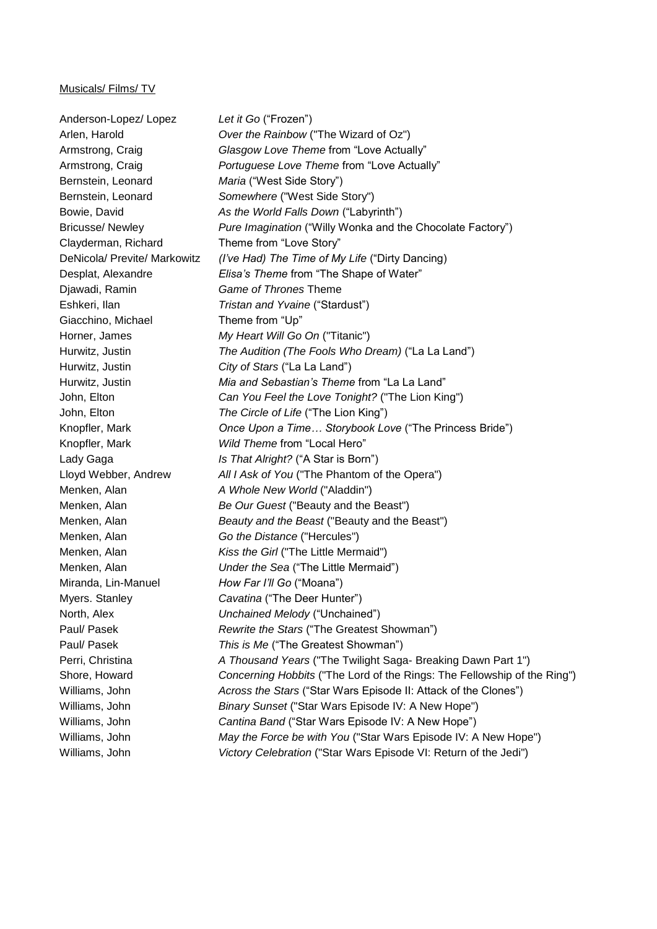#### Musicals/ Films/ TV

Anderson-Lopez/ Lopez *Let it Go* ("Frozen") Arlen, Harold *Over the Rainbow* ("The Wizard of Oz") Armstrong, Craig *Glasgow Love Theme* from "Love Actually" Armstrong, Craig *Portuguese Love Theme* from "Love Actually" Bernstein, Leonard *Maria* ("West Side Story") Bernstein, Leonard *Somewhere* ("West Side Story") Bowie, David *As the World Falls Down* ("Labyrinth") Bricusse/ Newley *Pure Imagination* ("Willy Wonka and the Chocolate Factory") Clayderman, Richard Theme from "Love Story" DeNicola/ Previte/ Markowitz *(I've Had) The Time of My Life* ("Dirty Dancing) Desplat, Alexandre *Elisa's Theme* from "The Shape of Water" Djawadi, Ramin *Game of Thrones* Theme Eshkeri, Ilan *Tristan and Yvaine* ("Stardust") Giacchino, Michael Theme from "Up" Horner, James *My Heart Will Go On* ("Titanic") Hurwitz, Justin *The Audition (The Fools Who Dream)* ("La La Land") Hurwitz, Justin *City of Stars* ("La La Land") Hurwitz, Justin *Mia and Sebastian's Theme* from "La La Land" John, Elton *Can You Feel the Love Tonight?* ("The Lion King") John, Elton *The Circle of Life* ("The Lion King") Knopfler, Mark *Once Upon a Time… Storybook Love* ("The Princess Bride") Knopfler, Mark *Wild Theme* from "Local Hero" Lady Gaga *Is That Alright?* ("A Star is Born") Lloyd Webber, Andrew *All I Ask of You* ("The Phantom of the Opera") Menken, Alan *A Whole New World* ("Aladdin") Menken, Alan *Be Our Guest* ("Beauty and the Beast") Menken, Alan *Beauty and the Beast* ("Beauty and the Beast") Menken, Alan *Go the Distance* ("Hercules") Menken, Alan *Kiss the Girl* ("The Little Mermaid") Menken, Alan *Under the Sea* ("The Little Mermaid") Miranda, Lin-Manuel *How Far I'll Go* ("Moana") Myers. Stanley *Cavatina* ("The Deer Hunter") North, Alex *Unchained Melody* ("Unchained") Paul/ Pasek *Rewrite the Stars* ("The Greatest Showman") Paul/ Pasek *This is Me* ("The Greatest Showman") Perri, Christina *A Thousand Years* ("The Twilight Saga- Breaking Dawn Part 1") Shore, Howard *Concerning Hobbits* ("The Lord of the Rings: The Fellowship of the Ring") Williams, John *Across the Stars* ("Star Wars Episode II: Attack of the Clones") Williams, John *Binary Sunset* ("Star Wars Episode IV: A New Hope") Williams, John *Cantina Band* ("Star Wars Episode IV: A New Hope") Williams, John *May the Force be with You* ("Star Wars Episode IV: A New Hope") Williams, John *Victory Celebration* ("Star Wars Episode VI: Return of the Jedi")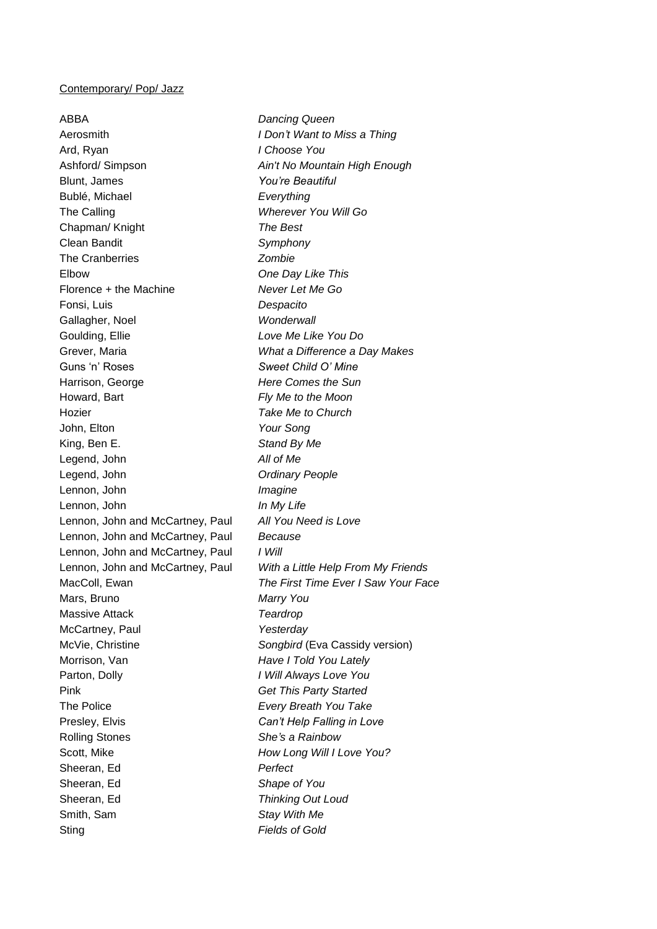### Contemporary/ Pop/ Jazz

ABBA *Dancing Queen* Aerosmith *I Don't Want to Miss a Thing* Ard, Ryan *I Choose You* Ashford/ Simpson *Ain't No Mountain High Enough* Blunt, James *You're Beautiful* Bublé, Michael *Everything* The Calling *Wherever You Will Go* Chapman/ Knight *The Best* Clean Bandit *Symphony* The Cranberries *Zombie* Elbow *One Day Like This* Florence + the Machine *Never Let Me Go* Fonsi, Luis *Despacito* Gallagher, Noel *Wonderwall* Goulding, Ellie *Love Me Like You Do* Grever, Maria *What a Difference a Day Makes* Guns 'n' Roses *Sweet Child O' Mine* Harrison, George *Here Comes the Sun* Howard, Bart *Fly Me to the Moon* Hozier *Take Me to Church* John, Elton *Your Song* King, Ben E. *Stand By Me* Legend, John *All of Me* Legend, John *Ordinary People* Lennon, John *Imagine* Lennon, John *In My Life* Lennon, John and McCartney, Paul *All You Need is Love* Lennon, John and McCartney, Paul *Because* Lennon, John and McCartney, Paul *I Will* Lennon, John and McCartney, Paul *With a Little Help From My Friends* MacColl, Ewan *The First Time Ever I Saw Your Face* Mars, Bruno *Marry You* Massive Attack *Teardrop* McCartney, Paul *Yesterday* McVie, Christine *Songbird* (Eva Cassidy version) Morrison, Van *Have I Told You Lately* Parton, Dolly *I Will Always Love You* Pink *Get This Party Started* The Police *Every Breath You Take* Presley, Elvis *Can't Help Falling in Love* Rolling Stones *She's a Rainbow* Scott, Mike *How Long Will I Love You?* Sheeran, Ed *Perfect* Sheeran, Ed *Shape of You* Sheeran, Ed *Thinking Out Loud* Smith, Sam *Stay With Me* Sting *Fields of Gold*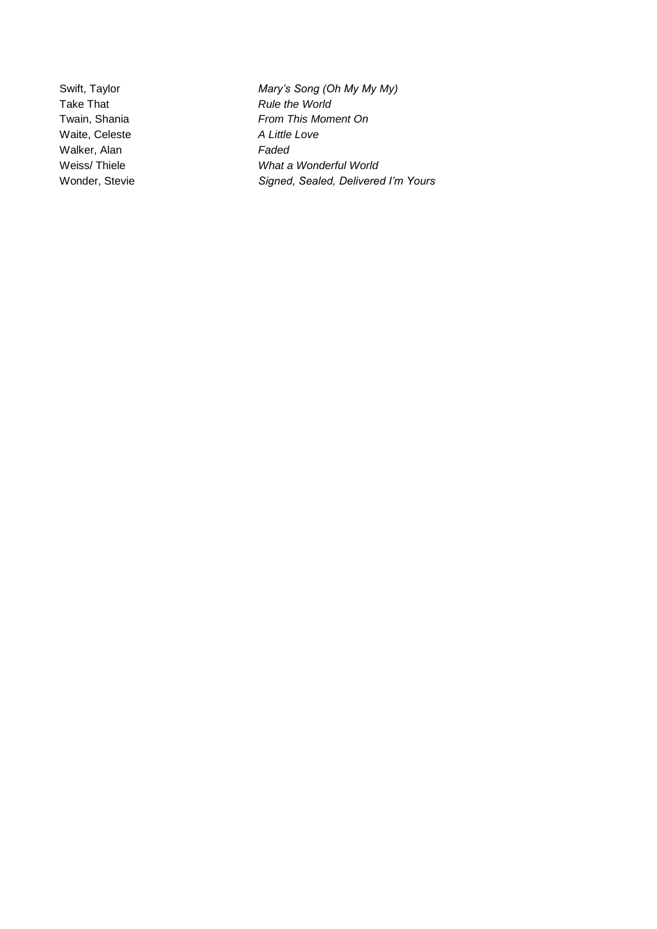Waite, Celeste *A Little Love* Walker, Alan *Faded*

Swift, Taylor *Mary's Song (Oh My My My)* Take That *Rule the World* Twain, Shania *From This Moment On* Weiss/ Thiele *What a Wonderful World* Wonder, Stevie *Signed, Sealed, Delivered I'm Yours*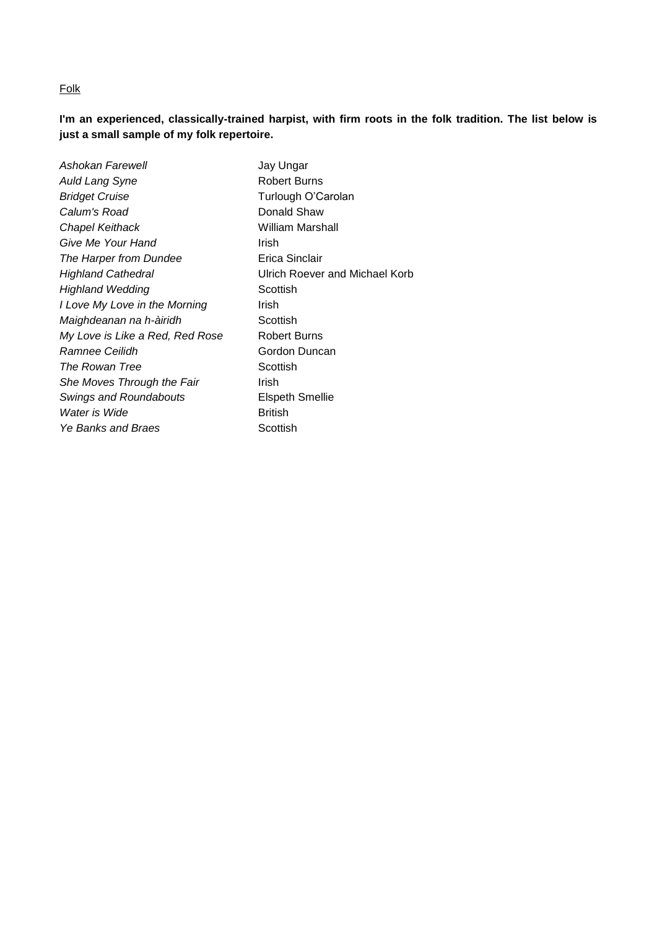## Folk

**I'm an experienced, classically-trained harpist, with firm roots in the folk tradition. The list below is just a small sample of my folk repertoire.**

| Ashokan Farewell                | Jay Ungar                      |
|---------------------------------|--------------------------------|
| <b>Auld Lang Syne</b>           | <b>Robert Burns</b>            |
| <b>Bridget Cruise</b>           | Turlough O'Carolan             |
| Calum's Road                    | Donald Shaw                    |
| Chapel Keithack                 | William Marshall               |
| Give Me Your Hand               | Irish                          |
| The Harper from Dundee          | Erica Sinclair                 |
| <b>Highland Cathedral</b>       | Ulrich Roever and Michael Korb |
| <b>Highland Wedding</b>         | Scottish                       |
| I Love My Love in the Morning   | Irish                          |
| Maighdeanan na h-àiridh         | Scottish                       |
| My Love is Like a Red, Red Rose | Robert Burns                   |
| Ramnee Ceilidh                  | Gordon Duncan                  |
| The Rowan Tree                  | Scottish                       |
| She Moves Through the Fair      | Irish                          |
| <b>Swings and Roundabouts</b>   | Elspeth Smellie                |
| Water is Wide                   | <b>British</b>                 |
| <b>Ye Banks and Braes</b>       | Scottish                       |
|                                 |                                |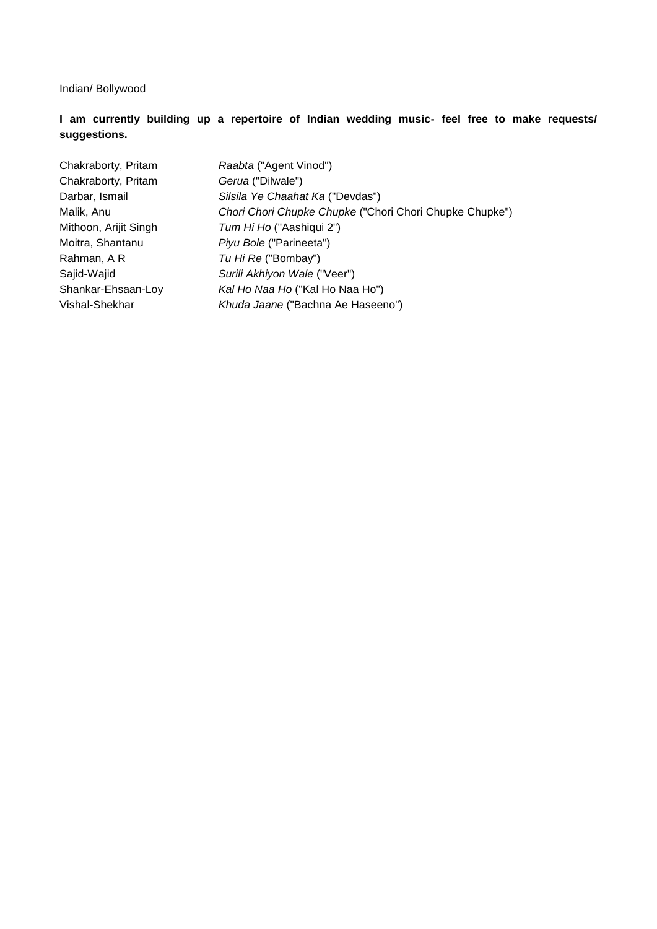### Indian/ Bollywood

# **I am currently building up a repertoire of Indian wedding music- feel free to make requests/ suggestions.**

Chakraborty, Pritam *Raabta* ("Agent Vinod") Chakraborty, Pritam *Gerua* ("Dilwale") Rahman, A R *Tu Hi Re* ("Bombay")

Darbar, Ismail *Silsila Ye Chaahat Ka* ("Devdas") Malik, Anu *Chori Chori Chupke Chupke* ("Chori Chori Chupke Chupke") Mithoon, Arijit Singh *Tum Hi Ho* ("Aashiqui 2") Moitra, Shantanu *Piyu Bole* ("Parineeta") Sajid-Wajid *Surili Akhiyon Wale* ("Veer") Shankar-Ehsaan-Loy *Kal Ho Naa Ho* ("Kal Ho Naa Ho") Vishal-Shekhar *Khuda Jaane* ("Bachna Ae Haseeno")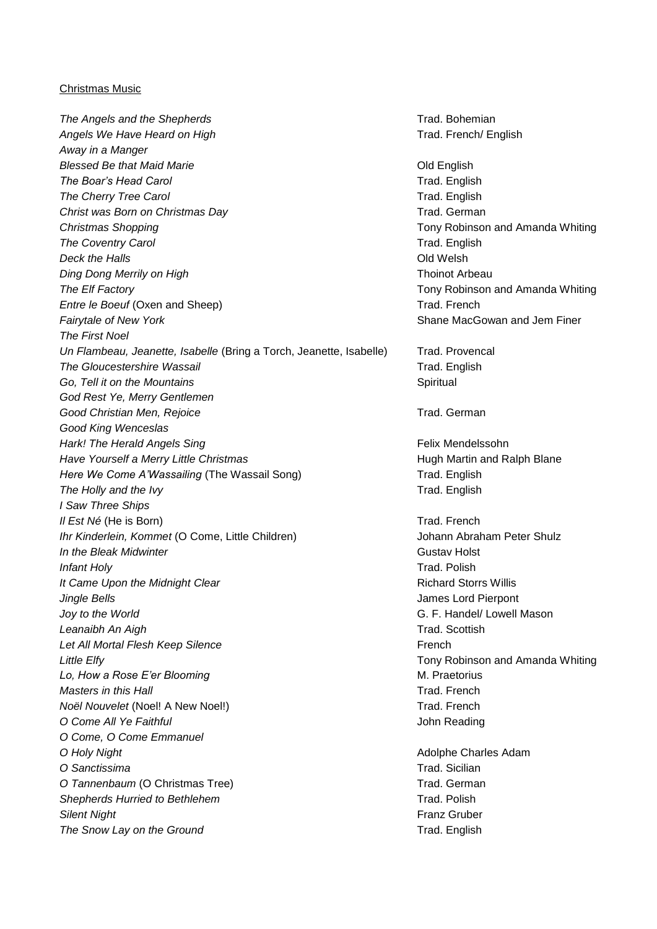### Christmas Music

**The Angels and the Shepherds** Trad. Bohemian Angels We Have Heard on High Trad. French/ English *Away in a Manger* **Blessed Be that Maid Marie Contract Contract Contract Contract Contract Contract Contract Contract Contract Contract Contract Contract Contract Contract Contract Contract Contract Contract Contract Contract Contract Con The Boar's Head Carol Carol Carol Carol Carol Carol Carol Carol Caroline Carol Carol Trad. English The Cherry Tree Carol** Trad. English **Christ was Born on Christmas Day** Trad. German *Christmas Shopping* Tony Robinson and Amanda Whiting **The Coventry Carol** Theory **Trade Coveney Carol** Trad. English **Deck the Halls Deck the Halls Old Welsh Ding Dong Merrily on High Thoinot Arbeau** *The Elf Factory* Tony Robinson and Amanda Whiting *Entre le Boeuf* (Oxen and Sheep) **Trad. French** Trad. French **Fairytale of New York** Shane MacGowan and Jem Finer *The First Noel Un Flambeau, Jeanette, Isabelle* (Bring a Torch, Jeanette, Isabelle) Trad. Provencal *The Gloucestershire Wassail* Trad. English *Go, Tell it on the Mountains* Spiritual *God Rest Ye, Merry Gentlemen* **Good Christian Men, Rejoice** Trad. German *Good King Wenceslas Hark! The Herald Angels Sing* Felix Mendelssohn *Have Yourself a Merry Little Christmas* **Have All and Ralph Blane** Hugh Martin and Ralph Blane *Here We Come A'Wassailing* (The Wassail Song) Trad. English **The Holly and the Ivy Trade English** Trad. English *I Saw Three Ships Il Est Né* (He is Born) **Trad. French Trad. French** *Ihr Kinderlein, Kommet* (O Come, Little Children) **Johann Abraham Peter Shulz** *In the Bleak Midwinter* **Gustav Holst Gustav Holst Gustav Holst** *Infant Holy* Trad. Polish *It Came Upon the Midnight Clear* **Richard Storrs Willis** *Richard Storrs Willis Jingle Bells* James Lord Pierpont *Joy to the World* G. F. Handel/ Lowell Mason Leanaibh An Aigh **Trad.** Scottish **Let All Mortal Flesh Keep Silence** French *Little Elfy* Tony Robinson and Amanda Whiting *Lo, How a Rose E'er Blooming* M. Praetorius M. Praetorius *Masters in this Hall* Trad. French *Noël Nouvelet* (Noel! A New Noel!) Trad. French *O Come All Ye Faithful* John Reading *O Come, O Come Emmanuel* **O Holy Night Charles Adam Contract Adam Charles Adam Charles Adam Charles Adam Charles Adam** *O Sanctissima* Trad. Sicilian *O Tannenbaum* (O Christmas Tree) **Trad. German Shepherds Hurried to Bethlehem** Trad. Polish *Silent Night* Franz Gruber **The Snow Lay on the Ground Trade. English** Trad. English